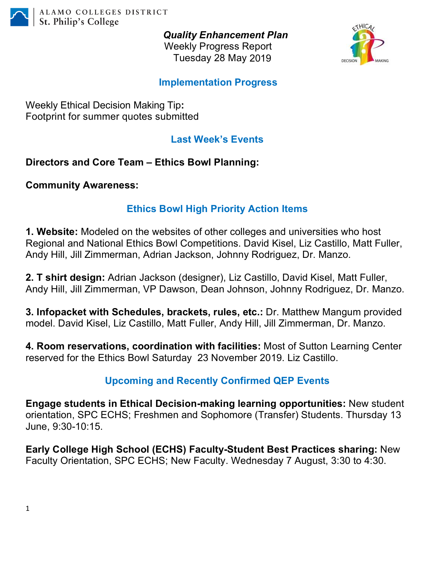

*Quality Enhancement Plan* Weekly Progress Report Tuesday 28 May 2019



## **Implementation Progress**

Weekly Ethical Decision Making Tip**:** Footprint for summer quotes submitted

## **Last Week's Events**

**Directors and Core Team – Ethics Bowl Planning:**

**Community Awareness:** 

## **Ethics Bowl High Priority Action Items**

**1. Website:** Modeled on the websites of other colleges and universities who host Regional and National Ethics Bowl Competitions. David Kisel, Liz Castillo, Matt Fuller, Andy Hill, Jill Zimmerman, Adrian Jackson, Johnny Rodriguez, Dr. Manzo.

**2. T shirt design:** Adrian Jackson (designer), Liz Castillo, David Kisel, Matt Fuller, Andy Hill, Jill Zimmerman, VP Dawson, Dean Johnson, Johnny Rodriguez, Dr. Manzo.

**3. Infopacket with Schedules, brackets, rules, etc.:** Dr. Matthew Mangum provided model. David Kisel, Liz Castillo, Matt Fuller, Andy Hill, Jill Zimmerman, Dr. Manzo.

**4. Room reservations, coordination with facilities:** Most of Sutton Learning Center reserved for the Ethics Bowl Saturday 23 November 2019. Liz Castillo.

## **Upcoming and Recently Confirmed QEP Events**

**Engage students in Ethical Decision-making learning opportunities:** New student orientation, SPC ECHS; Freshmen and Sophomore (Transfer) Students. Thursday 13 June, 9:30-10:15.

**Early College High School (ECHS) Faculty-Student Best Practices sharing:** New Faculty Orientation, SPC ECHS; New Faculty. Wednesday 7 August, 3:30 to 4:30.